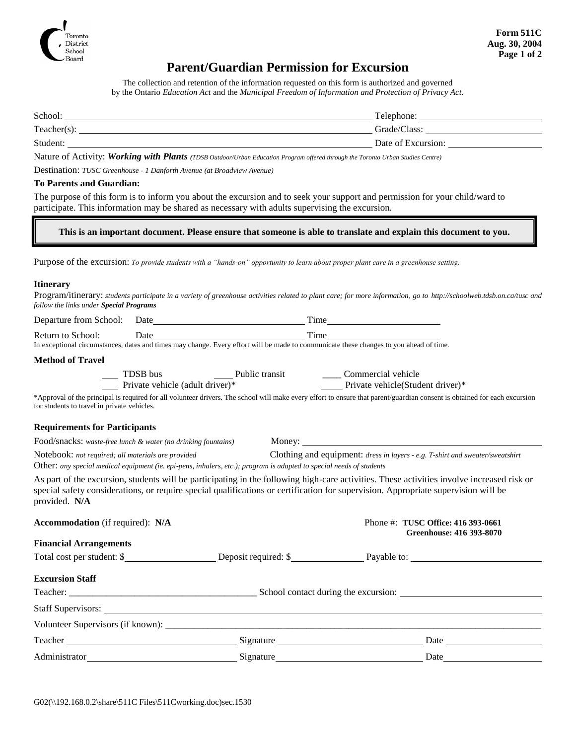

## **Parent/Guardian Permission for Excursion**

The collection and retention of the information requested on this form is authorized and governed by the Ontario *Education Act* and the *Municipal Freedom of Information and Protection of Privacy Act.*

| Student:       | Date of Excursion: |
|----------------|--------------------|
| $Teacher(s)$ : | Grade/Class:       |
| School:        | Telephone:         |
|                |                    |

Nature of Activity: *Working with Plants (TDSB Outdoor/Urban Education Program offered through the Toronto Urban Studies Centre)*

Destination: *TUSC Greenhouse - 1 Danforth Avenue (at Broadview Avenue)*

#### **To Parents and Guardian:**

The purpose of this form is to inform you about the excursion and to seek your support and permission for your child/ward to participate. This information may be shared as necessary with adults supervising the excursion.

**This is an important document. Please ensure that someone is able to translate and explain this document to you.**

Purpose of the excursion: *To provide students with a "hands-on" opportunity to learn about proper plant care in a greenhouse setting.*

#### **Itinerary**

Program/itinerary: *students participate in a variety of greenhouse activities related to plant care; for more information, go to http://schoolweb.tdsb.on.ca/tusc and follow the links under Special Programs*

| Departure from School: | Date |  |                   | <sub>1</sub> me |  |  |
|------------------------|------|--|-------------------|-----------------|--|--|
| าบาท<br>school:<br>TΩ  | bate |  |                   | <sub>1</sub> me |  |  |
|                        |      |  | <br>$\mathcal{L}$ |                 |  |  |

In exceptional circumstances, dates and times may change. Every effort will be made to communicate these changes to you ahead of time.

#### **Method of Travel**

| TDSB bus                        | Public transit | Commercial vehicle                |
|---------------------------------|----------------|-----------------------------------|
| Private vehicle (adult driver)* |                | Private vehicle (Student driver)* |

\*Approval of the principal is required for all volunteer drivers. The school will make every effort to ensure that parent/guardian consent is obtained for each excursion for students to travel in private vehicles.

### **Requirements for Participants**

Food/snacks: *waste-free lunch & water (no drinking fountains)* Money: Notebook: *not required; all materials are provided* Clothing and equipment: *dress in layers - e.g. T-shirt and sweater/sweatshirt*  Other: *any special medical equipment (ie. epi-pens, inhalers, etc.); program is adapted to special needs of students*

As part of the excursion, students will be participating in the following high-care activities. These activities involve increased risk or special safety considerations, or require special qualifications or certification for supervision. Appropriate supervision will be provided. **N/A**

| <b>Accommodation</b> (if required): N/A |  | Phone #: TUSC Office: 416 393-0661<br>Greenhouse: 416 393-8070                                                                                                                                                                             |  |  |  |
|-----------------------------------------|--|--------------------------------------------------------------------------------------------------------------------------------------------------------------------------------------------------------------------------------------------|--|--|--|
| <b>Financial Arrangements</b>           |  |                                                                                                                                                                                                                                            |  |  |  |
|                                         |  | Total cost per student: \$                                                                                                                                                                                                                 |  |  |  |
| <b>Excursion Staff</b>                  |  |                                                                                                                                                                                                                                            |  |  |  |
|                                         |  |                                                                                                                                                                                                                                            |  |  |  |
|                                         |  |                                                                                                                                                                                                                                            |  |  |  |
|                                         |  |                                                                                                                                                                                                                                            |  |  |  |
|                                         |  |                                                                                                                                                                                                                                            |  |  |  |
|                                         |  | Signature<br>Date and the same state of the state of the state of the state of the state of the state of the state of the state of the state of the state of the state of the state of the state of the state of the state of the state of |  |  |  |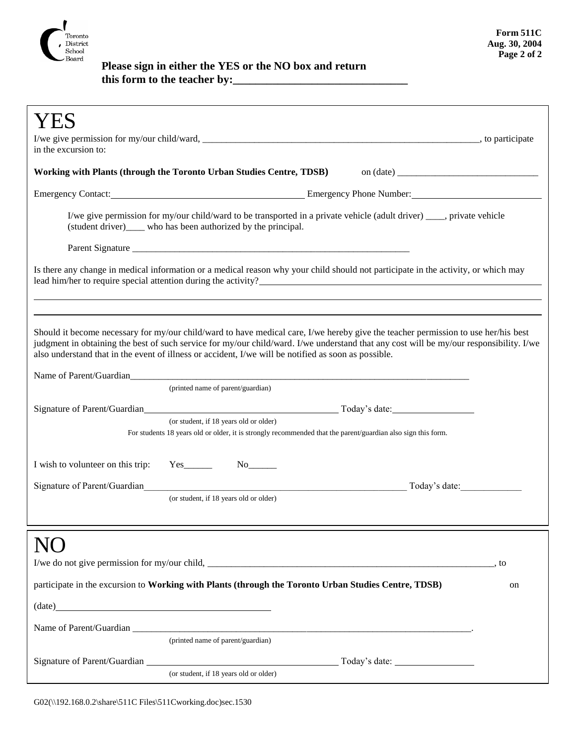

 **Please sign in either the YES or the NO box and return this form to the teacher by:\_\_\_\_\_\_\_\_\_\_\_\_\_\_\_\_\_\_\_\_\_\_\_\_\_\_\_\_\_\_\_**

| in the excursion to:                                                                                                                                                                                                                                                                                                                                                                               |                                                                                                                                                        |    |  |  |
|----------------------------------------------------------------------------------------------------------------------------------------------------------------------------------------------------------------------------------------------------------------------------------------------------------------------------------------------------------------------------------------------------|--------------------------------------------------------------------------------------------------------------------------------------------------------|----|--|--|
|                                                                                                                                                                                                                                                                                                                                                                                                    | Working with Plants (through the Toronto Urban Studies Centre, TDSB)                                                                                   |    |  |  |
|                                                                                                                                                                                                                                                                                                                                                                                                    | Emergency Contact: <u>Contact: Emergency Phone Number:</u> Emergency Phone Number:                                                                     |    |  |  |
| I/we give permission for my/our child/ward to be transported in a private vehicle (adult driver) ____, private vehicle<br>(student driver)_____ who has been authorized by the principal.                                                                                                                                                                                                          |                                                                                                                                                        |    |  |  |
|                                                                                                                                                                                                                                                                                                                                                                                                    |                                                                                                                                                        |    |  |  |
|                                                                                                                                                                                                                                                                                                                                                                                                    | Is there any change in medical information or a medical reason why your child should not participate in the activity, or which may                     |    |  |  |
| Should it become necessary for my/our child/ward to have medical care, I/we hereby give the teacher permission to use her/his best<br>judgment in obtaining the best of such service for my/our child/ward. I/we understand that any cost will be my/our responsibility. I/we<br>also understand that in the event of illness or accident, I/we will be notified as soon as possible.              |                                                                                                                                                        |    |  |  |
|                                                                                                                                                                                                                                                                                                                                                                                                    | (printed name of parent/guardian)                                                                                                                      |    |  |  |
|                                                                                                                                                                                                                                                                                                                                                                                                    |                                                                                                                                                        |    |  |  |
|                                                                                                                                                                                                                                                                                                                                                                                                    | (or student, if 18 years old or older)<br>For students 18 years old or older, it is strongly recommended that the parent/guardian also sign this form. |    |  |  |
| I wish to volunteer on this trip:                                                                                                                                                                                                                                                                                                                                                                  | $Yes$ <sub>_________</sub>                                                                                                                             |    |  |  |
| Signature of Parent/Guardian                                                                                                                                                                                                                                                                                                                                                                       | Today's date:<br><u> 1989 - Johann Stoff, deutscher Stoffen und der Stoffen und der Stoffen und der Stoffen und der Stoffen und der</u>                |    |  |  |
|                                                                                                                                                                                                                                                                                                                                                                                                    | (or student, if 18 years old or older)                                                                                                                 |    |  |  |
|                                                                                                                                                                                                                                                                                                                                                                                                    |                                                                                                                                                        |    |  |  |
|                                                                                                                                                                                                                                                                                                                                                                                                    |                                                                                                                                                        |    |  |  |
|                                                                                                                                                                                                                                                                                                                                                                                                    | participate in the excursion to Working with Plants (through the Toronto Urban Studies Centre, TDSB)                                                   | on |  |  |
| $(data)$ $(date)$ $(date)$ $(date)$ $(date)$ $(date)$ $(date)$ $(date)$ $(date)$ $(date)$ $(ensure)$ $(ensure)$ $(ensure)$ $(ensure)$ $(ensure)$ $(ensure)$ $(ensure)$ $(ensure)$ $(ensure)$ $(ensure)$ $(ensure)$ $(ensure)$ $(ensure)$ $(ensure)$ $(ensure)$ $(ensure)$ $(ensure)$ $(ensure)$ $(ensure)$ $(ensure)$ $(ensure)$ $(ensure)$ $(ensure)$ $(ensure)$ $(ensure)$ $(ensure)$ $(ensure)$ |                                                                                                                                                        |    |  |  |
|                                                                                                                                                                                                                                                                                                                                                                                                    |                                                                                                                                                        |    |  |  |
|                                                                                                                                                                                                                                                                                                                                                                                                    | (printed name of parent/guardian)                                                                                                                      |    |  |  |
|                                                                                                                                                                                                                                                                                                                                                                                                    | (or student, if 18 years old or older)                                                                                                                 |    |  |  |
|                                                                                                                                                                                                                                                                                                                                                                                                    |                                                                                                                                                        |    |  |  |